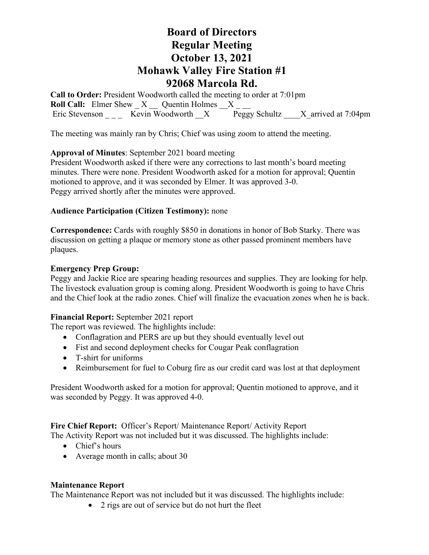# **Board of Directors Regular Meeting October 13, 2021 Mohawk Valley Fire Station #1 92068 Marcola Rd.**

**Call to Order:** President Woodworth called the meeting to order at 7:01pm **Roll Call:** Elmer Shew  $X$  Quentin Holmes X Eric Stevenson \_\_\_\_\_ Kevin Woodworth  $X$  Peggy Schultz  $X$  arrived at 7:04pm

The meeting was mainly ran by Chris; Chief was using zoom to attend the meeting.

## **Approval of Minutes**: September 2021 board meeting

President Woodworth asked if there were any corrections to last month's board meeting minutes. There were none. President Woodworth asked for a motion for approval; Quentin motioned to approve, and it was seconded by Elmer. It was approved 3-0. Peggy arrived shortly after the minutes were approved.

### **Audience Participation (Citizen Testimony):** none

**Correspondence:** Cards with roughly \$850 in donations in honor of Bob Starky. There was discussion on getting a plaque or memory stone as other passed prominent members have plaques.

#### **Emergency Prep Group:**

Peggy and Jackie Rice are spearing heading resources and supplies. They are looking for help. The livestock evaluation group is coming along. President Woodworth is going to have Chris and the Chief look at the radio zones. Chief will finalize the evacuation zones when he is back.

#### **Financial Report:** September 2021 report

The report was reviewed. The highlights include:

- Conflagration and PERS are up but they should eventually level out
- Fist and second deployment checks for Cougar Peak conflagration
- T-shirt for uniforms
- Reimbursement for fuel to Coburg fire as our credit card was lost at that deployment

President Woodworth asked for a motion for approval; Quentin motioned to approve, and it was seconded by Peggy. It was approved 4-0.

**Fire Chief Report:** Officer's Report/ Maintenance Report/ Activity Report

The Activity Report was not included but it was discussed. The highlights include:

- Chief's hours
- Average month in calls; about 30

#### **Maintenance Report**

The Maintenance Report was not included but it was discussed. The highlights include:

• 2 rigs are out of service but do not hurt the fleet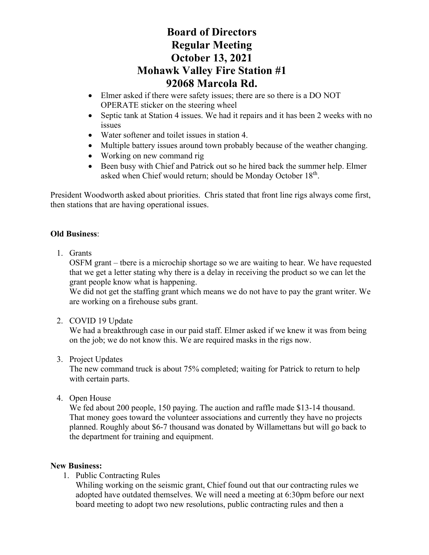# **Board of Directors Regular Meeting October 13, 2021 Mohawk Valley Fire Station #1 92068 Marcola Rd.**

- Elmer asked if there were safety issues; there are so there is a DO NOT OPERATE sticker on the steering wheel
- Septic tank at Station 4 issues. We had it repairs and it has been 2 weeks with no issues
- Water softener and toilet issues in station 4.
- Multiple battery issues around town probably because of the weather changing.
- Working on new command rig
- Been busy with Chief and Patrick out so he hired back the summer help. Elmer asked when Chief would return; should be Monday October 18<sup>th</sup>.

President Woodworth asked about priorities. Chris stated that front line rigs always come first, then stations that are having operational issues.

## **Old Business**:

1. Grants

OSFM grant – tbere is a microchip shortage so we are waiting to hear. We have requested that we get a letter stating why there is a delay in receiving the product so we can let the grant people know what is happening.

We did not get the staffing grant which means we do not have to pay the grant writer. We are working on a firehouse subs grant.

2. COVID 19 Update

We had a breakthrough case in our paid staff. Elmer asked if we knew it was from being on the job; we do not know this. We are required masks in the rigs now.

3. Project Updates

The new command truck is about 75% completed; waiting for Patrick to return to help with certain parts.

4. Open House

We fed about 200 people, 150 paying. The auction and raffle made \$13-14 thousand. That money goes toward the volunteer associations and currently they have no projects planned. Roughly about \$6-7 thousand was donated by Willamettans but will go back to the department for training and equipment.

## **New Business:**

1. Public Contracting Rules

Whiling working on the seismic grant, Chief found out that our contracting rules we adopted have outdated themselves. We will need a meeting at 6:30pm before our next board meeting to adopt two new resolutions, public contracting rules and then a